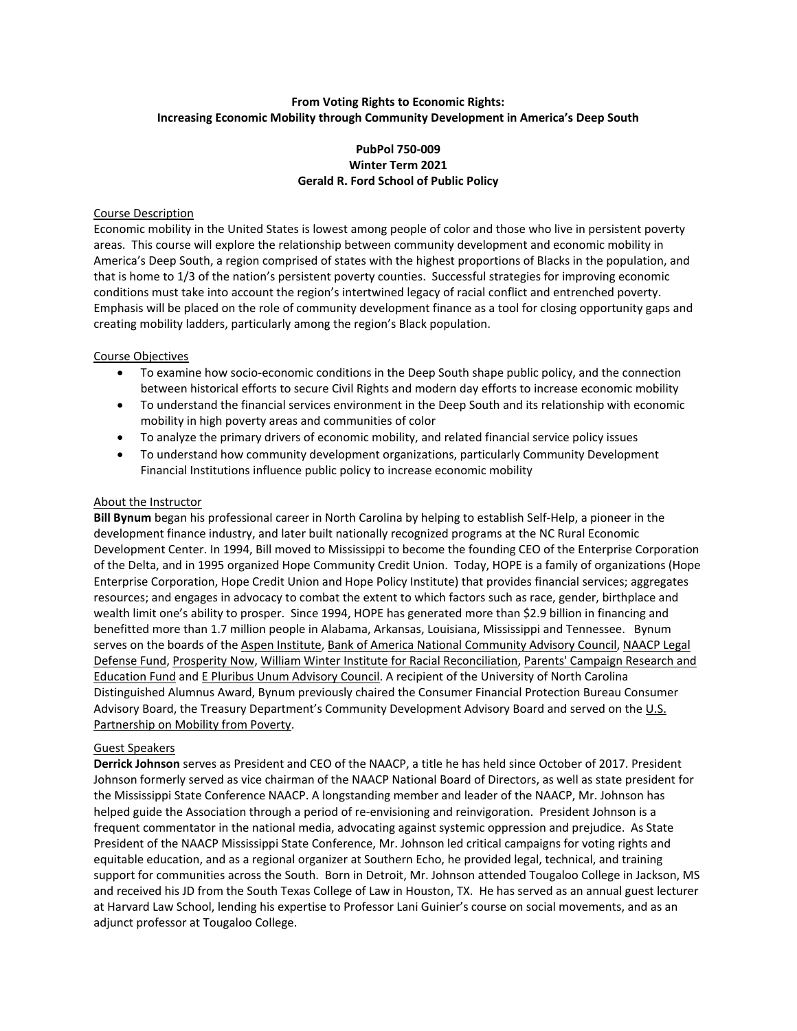# **From Voting Rights to Economic Rights: Increasing Economic Mobility through Community Development in America's Deep South**

# **PubPol 750-009 Winter Term 2021 Gerald R. Ford School of Public Policy**

# Course Description

Economic mobility in the United States is lowest among people of color and those who live in persistent poverty areas. This course will explore the relationship between community development and economic mobility in America's Deep South, a region comprised of states with the highest proportions of Blacks in the population, and that is home to 1/3 of the nation's persistent poverty counties. Successful strategies for improving economic conditions must take into account the region's intertwined legacy of racial conflict and entrenched poverty. Emphasis will be placed on the role of community development finance as a tool for closing opportunity gaps and creating mobility ladders, particularly among the region's Black population.

### Course Objectives

- To examine how socio-economic conditions in the Deep South shape public policy, and the connection between historical efforts to secure Civil Rights and modern day efforts to increase economic mobility
- To understand the financial services environment in the Deep South and its relationship with economic mobility in high poverty areas and communities of color
- To analyze the primary drivers of economic mobility, and related financial service policy issues
- To understand how community development organizations, particularly Community Development Financial Institutions influence public policy to increase economic mobility

### About the Instructor

**Bill Bynum** began his professional career in North Carolina by helping to establish Self-Help, a pioneer in the development finance industry, and later built nationally recognized programs at the NC Rural Economic Development Center. In 1994, Bill moved to Mississippi to become the founding CEO of the Enterprise Corporation of the Delta, and in 1995 organized Hope Community Credit Union. Today, HOPE is a family of organizations (Hope Enterprise Corporation, Hope Credit Union and Hope Policy Institute) that provides financial services; aggregates resources; and engages in advocacy to combat the extent to which factors such as race, gender, birthplace and wealth limit one's ability to prosper. Since 1994, HOPE has generated more than \$2.9 billion in financing and benefitted more than 1.7 million people in Alabama, Arkansas, Louisiana, Mississippi and Tennessee. Bynum serves on the boards of th[e Aspen Institute,](https://www.aspeninstitute.org/about/) [Bank of America National Community Advisory Council,](https://about.bankofamerica.com/en-us/what-guides-us/governance.html#fbid=HhGOXvimJf1) NAACP Legal [Defense Fund,](https://www.naacpldf.org/?_ga=2.103885952.1829063590.1608523108-1728932645.1607487388) [Prosperity Now,](https://prosperitynow.org/) [William Winter Institute for Racial Reconciliation,](https://www.winterinstitute.org/) [Parents' Campaign Research and](https://tpcref.org/)  [Education Fund](https://tpcref.org/) and [E Pluribus Unum Advisory Council.](https://www.unumfund.org/) A recipient of the University of North Carolina Distinguished Alumnus Award, Bynum previously chaired the Consumer Financial Protection Bureau Consumer Advisory Board, the Treasury Department's Community Development Advisory Board and served on the [U.S.](https://www.mobilitypartnership.org/) [Partnership on Mobility from Poverty.](https://www.mobilitypartnership.org/)

# Guest Speakers

**Derrick Johnson** serves as President and CEO of the NAACP, a title he has held since October of 2017. President Johnson formerly served as vice chairman of the NAACP National Board of Directors, as well as state president for the Mississippi State Conference NAACP. A longstanding member and leader of the NAACP, Mr. Johnson has helped guide the Association through a period of re-envisioning and reinvigoration. President Johnson is a frequent commentator in the national media, advocating against systemic oppression and prejudice. As State President of the NAACP Mississippi State Conference, Mr. Johnson led critical campaigns for voting rights and equitable education, and as a regional organizer at Southern Echo, he provided legal, technical, and training support for communities across the South. Born in Detroit, Mr. Johnson attended Tougaloo College in Jackson, MS and received his JD from the South Texas College of Law in Houston, TX. He has served as an annual guest lecturer at Harvard Law School, lending his expertise to Professor Lani Guinier's course on social movements, and as an adjunct professor at Tougaloo College.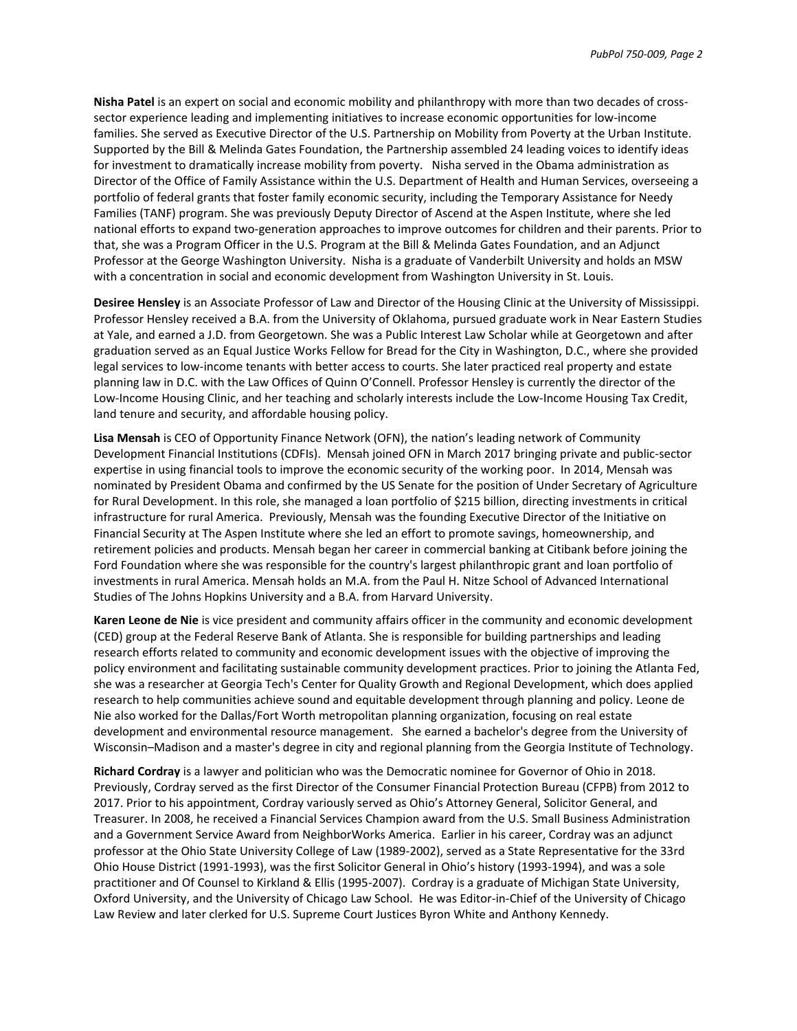**Nisha Patel** is an expert on social and economic mobility and philanthropy with more than two decades of crosssector experience leading and implementing initiatives to increase economic opportunities for low-income families. She served as Executive Director of the U.S. Partnership on Mobility from Poverty at the Urban Institute. Supported by the Bill & Melinda Gates Foundation, the Partnership assembled 24 leading voices to identify ideas for investment to dramatically increase mobility from poverty. Nisha served in the Obama administration as Director of the Office of Family Assistance within the U.S. Department of Health and Human Services, overseeing a portfolio of federal grants that foster family economic security, including the Temporary Assistance for Needy Families (TANF) program. She was previously Deputy Director of Ascend at the Aspen Institute, where she led national efforts to expand two-generation approaches to improve outcomes for children and their parents. Prior to that, she was a Program Officer in the U.S. Program at the Bill & Melinda Gates Foundation, and an Adjunct Professor at the George Washington University. Nisha is a graduate of Vanderbilt University and holds an MSW with a concentration in social and economic development from Washington University in St. Louis.

**Desiree Hensley** is an Associate Professor of Law and Director of the Housing Clinic at the University of Mississippi. Professor Hensley received a B.A. from the University of Oklahoma, pursued graduate work in Near Eastern Studies at Yale, and earned a J.D. from Georgetown. She was a Public Interest Law Scholar while at Georgetown and after graduation served as an Equal Justice Works Fellow for Bread for the City in Washington, D.C., where she provided legal services to low-income tenants with better access to courts. She later practiced real property and estate planning law in D.C. with the Law Offices of Quinn O'Connell. Professor Hensley is currently the director of the Low-Income Housing Clinic, and her teaching and scholarly interests include the Low-Income Housing Tax Credit, land tenure and security, and affordable housing policy.

**Lisa Mensah** is CEO of Opportunity Finance Network (OFN), the nation's leading network of Community Development Financial Institutions (CDFIs). Mensah joined OFN in March 2017 bringing private and public-sector expertise in using financial tools to improve the economic security of the working poor. In 2014, Mensah was nominated by President Obama and confirmed by the US Senate for the position of Under Secretary of Agriculture for Rural Development. In this role, she managed a loan portfolio of \$215 billion, directing investments in critical infrastructure for rural America. Previously, Mensah was the founding Executive Director of the Initiative on Financial Security at The Aspen Institute where she led an effort to promote savings, homeownership, and retirement policies and products. Mensah began her career in commercial banking at Citibank before joining the Ford Foundation where she was responsible for the country's largest philanthropic grant and loan portfolio of investments in rural America. Mensah holds an M.A. from the Paul H. Nitze School of Advanced International Studies of The Johns Hopkins University and a B.A. from Harvard University.

**Karen Leone de Nie** is vice president and community affairs officer in the community and economic development (CED) group at the Federal Reserve Bank of Atlanta. She is responsible for building partnerships and leading research efforts related to community and economic development issues with the objective of improving the policy environment and facilitating sustainable community development practices. Prior to joining the Atlanta Fed, she was a researcher at Georgia Tech's Center for Quality Growth and Regional Development, which does applied research to help communities achieve sound and equitable development through planning and policy. Leone de Nie also worked for the Dallas/Fort Worth metropolitan planning organization, focusing on real estate development and environmental resource management. She earned a bachelor's degree from the University of Wisconsin–Madison and a master's degree in city and regional planning from the Georgia Institute of Technology.

**Richard Cordray** is a lawyer and politician who was the Democratic nominee for Governor of Ohio in 2018. Previously, Cordray served as the first Director of the Consumer Financial Protection Bureau (CFPB) from 2012 to 2017. Prior to his appointment, Cordray variously served as Ohio's Attorney General, Solicitor General, and Treasurer. In 2008, he received a Financial Services Champion award from the U.S. Small Business Administration and a Government Service Award from NeighborWorks America. Earlier in his career, Cordray was an adjunct professor at the Ohio State University College of Law (1989-2002), served as a State Representative for the 33rd Ohio House District (1991-1993), was the first Solicitor General in Ohio's history (1993-1994), and was a sole practitioner and Of Counsel to Kirkland & Ellis (1995-2007). Cordray is a graduate of Michigan State University, Oxford University, and the University of Chicago Law School. He was Editor-in-Chief of the University of Chicago Law Review and later clerked for U.S. Supreme Court Justices Byron White and Anthony Kennedy.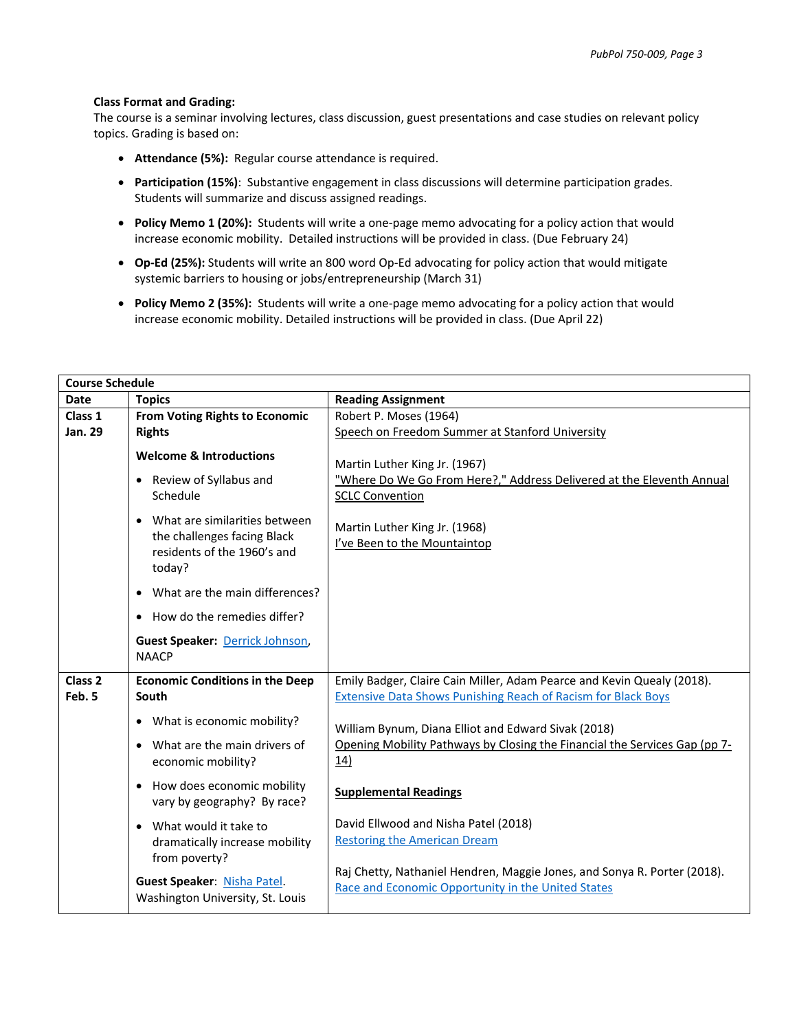#### **Class Format and Grading:**

The course is a seminar involving lectures, class discussion, guest presentations and case studies on relevant policy topics. Grading is based on:

- **Attendance (5%):** Regular course attendance is required.
- **Participation (15%)**: Substantive engagement in class discussions will determine participation grades. Students will summarize and discuss assigned readings.
- **Policy Memo 1 (20%):** Students will write a one-page memo advocating for a policy action that would increase economic mobility. Detailed instructions will be provided in class. (Due February 24)
- **Op-Ed (25%):** Students will write an 800 word Op-Ed advocating for policy action that would mitigate systemic barriers to housing or jobs/entrepreneurship (March 31)
- **Policy Memo 2 (35%):** Students will write a one-page memo advocating for a policy action that would increase economic mobility. Detailed instructions will be provided in class. (Due April 22)

| <b>Course Schedule</b>       |                                                                                                                    |                                                                                                                                                |  |  |
|------------------------------|--------------------------------------------------------------------------------------------------------------------|------------------------------------------------------------------------------------------------------------------------------------------------|--|--|
| <b>Date</b>                  | <b>Topics</b>                                                                                                      | <b>Reading Assignment</b>                                                                                                                      |  |  |
| Class 1                      | From Voting Rights to Economic                                                                                     | Robert P. Moses (1964)                                                                                                                         |  |  |
| Jan. 29                      | <b>Rights</b>                                                                                                      | Speech on Freedom Summer at Stanford University                                                                                                |  |  |
|                              | <b>Welcome &amp; Introductions</b><br>Review of Syllabus and<br>$\bullet$<br>Schedule                              | Martin Luther King Jr. (1967)<br>"Where Do We Go From Here?," Address Delivered at the Eleventh Annual<br><b>SCLC Convention</b>               |  |  |
|                              | What are similarities between<br>$\bullet$<br>the challenges facing Black<br>residents of the 1960's and<br>today? | Martin Luther King Jr. (1968)<br>I've Been to the Mountaintop                                                                                  |  |  |
|                              | What are the main differences?<br>$\bullet$                                                                        |                                                                                                                                                |  |  |
|                              | How do the remedies differ?                                                                                        |                                                                                                                                                |  |  |
|                              | Guest Speaker: Derrick Johnson,<br><b>NAACP</b>                                                                    |                                                                                                                                                |  |  |
| Class <sub>2</sub><br>Feb. 5 | <b>Economic Conditions in the Deep</b><br>South                                                                    | Emily Badger, Claire Cain Miller, Adam Pearce and Kevin Quealy (2018).<br><b>Extensive Data Shows Punishing Reach of Racism for Black Boys</b> |  |  |
|                              | • What is economic mobility?<br>What are the main drivers of<br>economic mobility?                                 | William Bynum, Diana Elliot and Edward Sivak (2018)<br>Opening Mobility Pathways by Closing the Financial the Services Gap (pp 7-<br>14)       |  |  |
|                              | How does economic mobility<br>$\bullet$<br>vary by geography? By race?                                             | <b>Supplemental Readings</b>                                                                                                                   |  |  |
|                              | What would it take to<br>$\bullet$<br>dramatically increase mobility<br>from poverty?                              | David Ellwood and Nisha Patel (2018)<br><b>Restoring the American Dream</b>                                                                    |  |  |
|                              | Guest Speaker: Nisha Patel.<br>Washington University, St. Louis                                                    | Raj Chetty, Nathaniel Hendren, Maggie Jones, and Sonya R. Porter (2018).<br>Race and Economic Opportunity in the United States                 |  |  |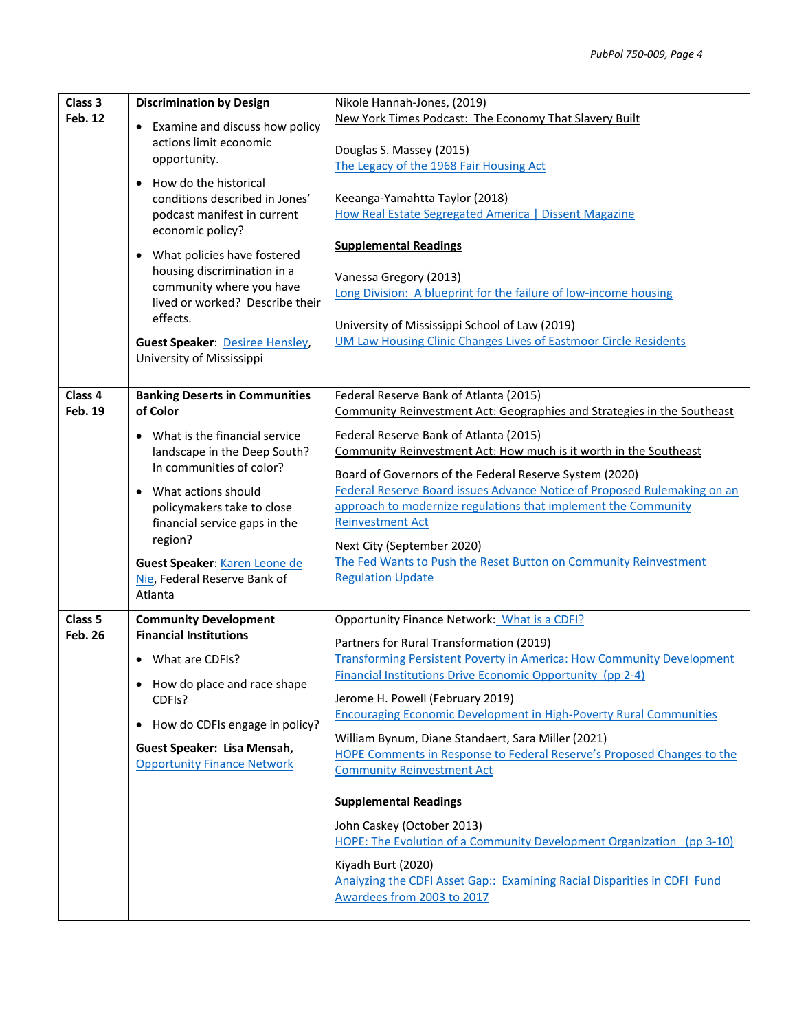| Class 3<br><b>Feb. 12</b>            | <b>Discrimination by Design</b><br>• Examine and discuss how policy<br>actions limit economic<br>opportunity.<br>How do the historical<br>$\bullet$<br>conditions described in Jones'                                                                                    | Nikole Hannah-Jones, (2019)<br>New York Times Podcast: The Economy That Slavery Built<br>Douglas S. Massey (2015)<br>The Legacy of the 1968 Fair Housing Act<br>Keeanga-Yamahtta Taylor (2018)                                                                                                                                                                                                                                                                                |
|--------------------------------------|--------------------------------------------------------------------------------------------------------------------------------------------------------------------------------------------------------------------------------------------------------------------------|-------------------------------------------------------------------------------------------------------------------------------------------------------------------------------------------------------------------------------------------------------------------------------------------------------------------------------------------------------------------------------------------------------------------------------------------------------------------------------|
|                                      | podcast manifest in current<br>economic policy?<br>• What policies have fostered<br>housing discrimination in a<br>community where you have<br>lived or worked? Describe their<br>effects.<br><b>Guest Speaker: Desiree Hensley,</b><br>University of Mississippi        | How Real Estate Segregated America   Dissent Magazine<br><b>Supplemental Readings</b><br>Vanessa Gregory (2013)<br>Long Division: A blueprint for the failure of low-income housing<br>University of Mississippi School of Law (2019)<br><b>UM Law Housing Clinic Changes Lives of Eastmoor Circle Residents</b>                                                                                                                                                              |
| Class 4                              | <b>Banking Deserts in Communities</b>                                                                                                                                                                                                                                    | Federal Reserve Bank of Atlanta (2015)                                                                                                                                                                                                                                                                                                                                                                                                                                        |
| <b>Feb. 19</b>                       | of Color                                                                                                                                                                                                                                                                 | Community Reinvestment Act: Geographies and Strategies in the Southeast                                                                                                                                                                                                                                                                                                                                                                                                       |
|                                      | • What is the financial service<br>landscape in the Deep South?<br>In communities of color?<br>What actions should<br>policymakers take to close<br>financial service gaps in the<br>region?<br>Guest Speaker: Karen Leone de<br>Nie, Federal Reserve Bank of<br>Atlanta | Federal Reserve Bank of Atlanta (2015)<br>Community Reinvestment Act: How much is it worth in the Southeast<br>Board of Governors of the Federal Reserve System (2020)<br>Federal Reserve Board issues Advance Notice of Proposed Rulemaking on an<br>approach to modernize regulations that implement the Community<br><b>Reinvestment Act</b><br>Next City (September 2020)<br>The Fed Wants to Push the Reset Button on Community Reinvestment<br><b>Regulation Update</b> |
| Class <sub>5</sub><br><b>Feb. 26</b> | <b>Community Development</b><br><b>Financial Institutions</b>                                                                                                                                                                                                            | Opportunity Finance Network: What is a CDFI?                                                                                                                                                                                                                                                                                                                                                                                                                                  |
|                                      |                                                                                                                                                                                                                                                                          | Partners for Rural Transformation (2019)                                                                                                                                                                                                                                                                                                                                                                                                                                      |
|                                      | • What are CDFIs?<br>How do place and race shape                                                                                                                                                                                                                         | <b>Transforming Persistent Poverty in America: How Community Development</b><br><b>Financial Institutions Drive Economic Opportunity (pp 2-4)</b>                                                                                                                                                                                                                                                                                                                             |
|                                      | CDFIs?                                                                                                                                                                                                                                                                   | Jerome H. Powell (February 2019)<br><b>Encouraging Economic Development in High-Poverty Rural Communities</b>                                                                                                                                                                                                                                                                                                                                                                 |
|                                      | How do CDFIs engage in policy?<br>٠                                                                                                                                                                                                                                      | William Bynum, Diane Standaert, Sara Miller (2021)                                                                                                                                                                                                                                                                                                                                                                                                                            |
|                                      | Guest Speaker: Lisa Mensah,<br><b>Opportunity Finance Network</b>                                                                                                                                                                                                        | HOPE Comments in Response to Federal Reserve's Proposed Changes to the                                                                                                                                                                                                                                                                                                                                                                                                        |
|                                      |                                                                                                                                                                                                                                                                          | <b>Community Reinvestment Act</b><br><b>Supplemental Readings</b><br>John Caskey (October 2013)<br>HOPE: The Evolution of a Community Development Organization (pp 3-10)<br>Kiyadh Burt (2020)<br>Analyzing the CDFI Asset Gap:: Examining Racial Disparities in CDFI Fund<br>Awardees from 2003 to 2017                                                                                                                                                                      |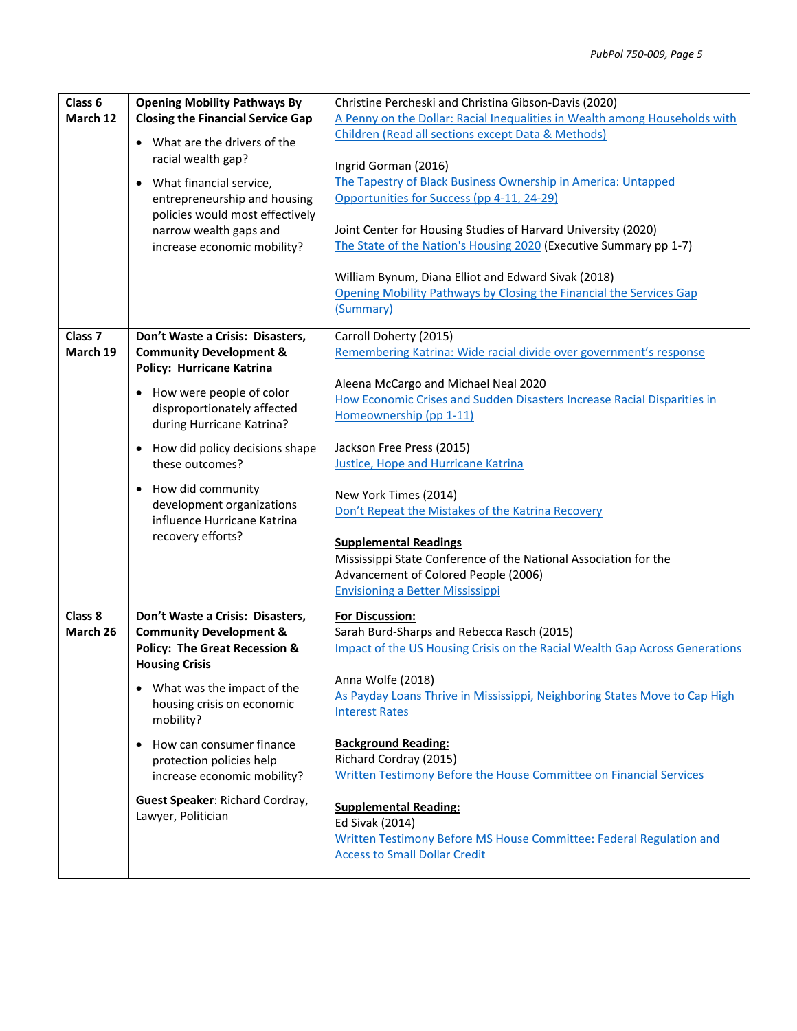| Class 6<br>March 12            | <b>Opening Mobility Pathways By</b><br><b>Closing the Financial Service Gap</b><br>• What are the drivers of the<br>racial wealth gap?<br>• What financial service,<br>entrepreneurship and housing<br>policies would most effectively<br>narrow wealth gaps and<br>increase economic mobility? | Christine Percheski and Christina Gibson-Davis (2020)<br>A Penny on the Dollar: Racial Inequalities in Wealth among Households with<br>Children (Read all sections except Data & Methods)<br>Ingrid Gorman (2016)<br>The Tapestry of Black Business Ownership in America: Untapped<br>Opportunities for Success (pp 4-11, 24-29)<br>Joint Center for Housing Studies of Harvard University (2020)<br>The State of the Nation's Housing 2020 (Executive Summary pp 1-7)<br>William Bynum, Diana Elliot and Edward Sivak (2018)<br>Opening Mobility Pathways by Closing the Financial the Services Gap |
|--------------------------------|-------------------------------------------------------------------------------------------------------------------------------------------------------------------------------------------------------------------------------------------------------------------------------------------------|------------------------------------------------------------------------------------------------------------------------------------------------------------------------------------------------------------------------------------------------------------------------------------------------------------------------------------------------------------------------------------------------------------------------------------------------------------------------------------------------------------------------------------------------------------------------------------------------------|
|                                |                                                                                                                                                                                                                                                                                                 | (Summary)                                                                                                                                                                                                                                                                                                                                                                                                                                                                                                                                                                                            |
| Class <sub>7</sub><br>March 19 | Don't Waste a Crisis: Disasters,<br><b>Community Development &amp;</b><br><b>Policy: Hurricane Katrina</b>                                                                                                                                                                                      | Carroll Doherty (2015)<br>Remembering Katrina: Wide racial divide over government's response                                                                                                                                                                                                                                                                                                                                                                                                                                                                                                         |
|                                | • How were people of color<br>disproportionately affected<br>during Hurricane Katrina?                                                                                                                                                                                                          | Aleena McCargo and Michael Neal 2020<br>How Economic Crises and Sudden Disasters Increase Racial Disparities in<br>Homeownership (pp 1-11)                                                                                                                                                                                                                                                                                                                                                                                                                                                           |
|                                | • How did policy decisions shape<br>these outcomes?                                                                                                                                                                                                                                             | Jackson Free Press (2015)<br><b>Justice, Hope and Hurricane Katrina</b>                                                                                                                                                                                                                                                                                                                                                                                                                                                                                                                              |
|                                | • How did community<br>development organizations<br>influence Hurricane Katrina                                                                                                                                                                                                                 | New York Times (2014)<br>Don't Repeat the Mistakes of the Katrina Recovery                                                                                                                                                                                                                                                                                                                                                                                                                                                                                                                           |
|                                | recovery efforts?                                                                                                                                                                                                                                                                               | <b>Supplemental Readings</b><br>Mississippi State Conference of the National Association for the<br>Advancement of Colored People (2006)<br><b>Envisioning a Better Mississippi</b>                                                                                                                                                                                                                                                                                                                                                                                                                  |
| Class 8<br>March 26            | Don't Waste a Crisis: Disasters,<br><b>Community Development &amp;</b><br><b>Policy: The Great Recession &amp;</b><br><b>Housing Crisis</b>                                                                                                                                                     | For Discussion:<br>Sarah Burd-Sharps and Rebecca Rasch (2015)<br>Impact of the US Housing Crisis on the Racial Wealth Gap Across Generations                                                                                                                                                                                                                                                                                                                                                                                                                                                         |
|                                | What was the impact of the<br>$\bullet$<br>housing crisis on economic<br>mobility?                                                                                                                                                                                                              | Anna Wolfe (2018)<br>As Payday Loans Thrive in Mississippi, Neighboring States Move to Cap High<br><b>Interest Rates</b>                                                                                                                                                                                                                                                                                                                                                                                                                                                                             |
|                                | How can consumer finance<br>$\bullet$<br>protection policies help<br>increase economic mobility?                                                                                                                                                                                                | <b>Background Reading:</b><br>Richard Cordray (2015)<br>Written Testimony Before the House Committee on Financial Services                                                                                                                                                                                                                                                                                                                                                                                                                                                                           |
|                                | Guest Speaker: Richard Cordray,<br>Lawyer, Politician                                                                                                                                                                                                                                           | <b>Supplemental Reading:</b><br>Ed Sivak (2014)<br>Written Testimony Before MS House Committee: Federal Regulation and<br><b>Access to Small Dollar Credit</b>                                                                                                                                                                                                                                                                                                                                                                                                                                       |